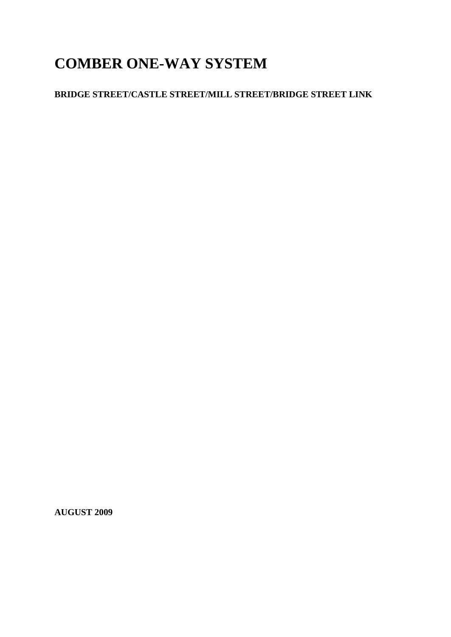# **COMBER ONE-WAY SYSTEM**

# **BRIDGE STREET/CASTLE STREET/MILL STREET/BRIDGE STREET LINK**

**AUGUST 2009**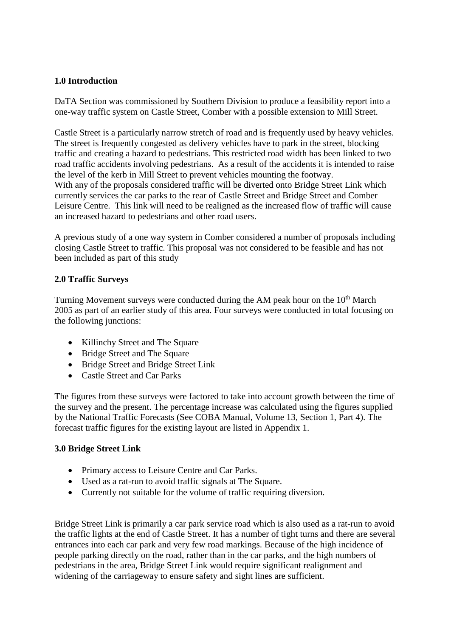## **1.0 Introduction**

DaTA Section was commissioned by Southern Division to produce a feasibility report into a one-way traffic system on Castle Street, Comber with a possible extension to Mill Street.

Castle Street is a particularly narrow stretch of road and is frequently used by heavy vehicles. The street is frequently congested as delivery vehicles have to park in the street, blocking traffic and creating a hazard to pedestrians. This restricted road width has been linked to two road traffic accidents involving pedestrians. As a result of the accidents it is intended to raise the level of the kerb in Mill Street to prevent vehicles mounting the footway. With any of the proposals considered traffic will be diverted onto Bridge Street Link which currently services the car parks to the rear of Castle Street and Bridge Street and Comber Leisure Centre. This link will need to be realigned as the increased flow of traffic will cause an increased hazard to pedestrians and other road users.

A previous study of a one way system in Comber considered a number of proposals including closing Castle Street to traffic. This proposal was not considered to be feasible and has not been included as part of this study

# **2.0 Traffic Surveys**

Turning Movement surveys were conducted during the AM peak hour on the 10<sup>th</sup> March 2005 as part of an earlier study of this area. Four surveys were conducted in total focusing on the following junctions:

- Killinchy Street and The Square
- Bridge Street and The Square
- Bridge Street and Bridge Street Link
- Castle Street and Car Parks

The figures from these surveys were factored to take into account growth between the time of the survey and the present. The percentage increase was calculated using the figures supplied by the National Traffic Forecasts (See COBA Manual, Volume 13, Section 1, Part 4). The forecast traffic figures for the existing layout are listed in Appendix 1.

## **3.0 Bridge Street Link**

- Primary access to Leisure Centre and Car Parks.
- Used as a rat-run to avoid traffic signals at The Square.
- Currently not suitable for the volume of traffic requiring diversion.

Bridge Street Link is primarily a car park service road which is also used as a rat-run to avoid the traffic lights at the end of Castle Street. It has a number of tight turns and there are several entrances into each car park and very few road markings. Because of the high incidence of people parking directly on the road, rather than in the car parks, and the high numbers of pedestrians in the area, Bridge Street Link would require significant realignment and widening of the carriageway to ensure safety and sight lines are sufficient.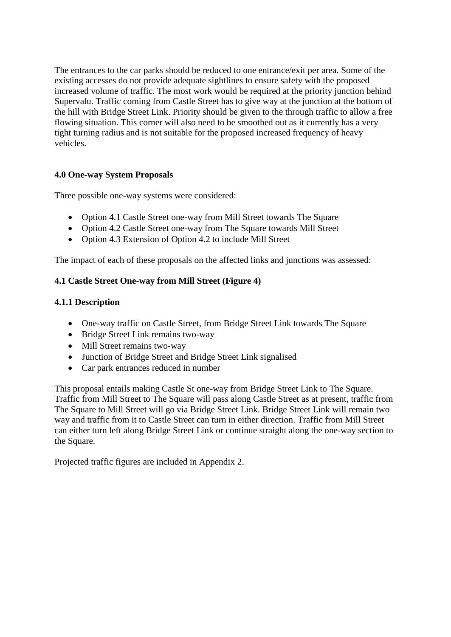The entrances to the car parks should be reduced to one entrance/exit per area. Some of the existing accesses do not provide adequate sightlines to ensure safety with the proposed increased volume of traffic. The most work would be required at the priority junction behind Supervalu. Traffic coming from Castle Street has to give way at the junction at the bottom of the hill with Bridge Street Link. Priority should be given to the through traffic to allow a free flowing situation. This corner will also need to be smoothed out as it currently has a very tight turning radius and is not suitable for the proposed increased frequency of heavy vehicles.

## **4.0 One-way System Proposals**

Three possible one-way systems were considered:

- Option 4.1 Castle Street one-way from Mill Street towards The Square
- Option 4.2 Castle Street one-way from The Square towards Mill Street
- Option 4.3 Extension of Option 4.2 to include Mill Street

The impact of each of these proposals on the affected links and junctions was assessed:

## **4.1 Castle Street One-way from Mill Street (Figure 4)**

#### **4.1.1 Description**

- One-way traffic on Castle Street, from Bridge Street Link towards The Square
- Bridge Street Link remains two-way
- Mill Street remains two-way
- Junction of Bridge Street and Bridge Street Link signalised
- Car park entrances reduced in number

This proposal entails making Castle St one-way from Bridge Street Link to The Square. Traffic from Mill Street to The Square will pass along Castle Street as at present, traffic from The Square to Mill Street will go via Bridge Street Link. Bridge Street Link will remain two way and traffic from it to Castle Street can turn in either direction. Traffic from Mill Street can either turn left along Bridge Street Link or continue straight along the one-way section to the Square.

Projected traffic figures are included in Appendix 2.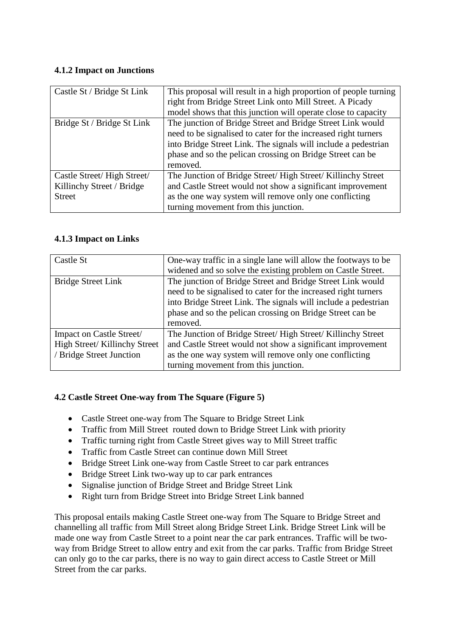# **4.1.2 Impact on Junctions**

| Castle St / Bridge St Link                                               | This proposal will result in a high proportion of people turning<br>right from Bridge Street Link onto Mill Street. A Picady<br>model shows that this junction will operate close to capacity                                                                           |
|--------------------------------------------------------------------------|-------------------------------------------------------------------------------------------------------------------------------------------------------------------------------------------------------------------------------------------------------------------------|
| Bridge St / Bridge St Link                                               | The junction of Bridge Street and Bridge Street Link would<br>need to be signalised to cater for the increased right turners<br>into Bridge Street Link. The signals will include a pedestrian<br>phase and so the pelican crossing on Bridge Street can be<br>removed. |
| Castle Street/High Street/<br>Killinchy Street / Bridge<br><b>Street</b> | The Junction of Bridge Street/ High Street/ Killinchy Street<br>and Castle Street would not show a significant improvement<br>as the one way system will remove only one conflicting<br>turning movement from this junction.                                            |

# **4.1.3 Impact on Links**

| Castle St                                                | One-way traffic in a single lane will allow the footways to be<br>widened and so solve the existing problem on Castle Street.                                                                                                                                           |
|----------------------------------------------------------|-------------------------------------------------------------------------------------------------------------------------------------------------------------------------------------------------------------------------------------------------------------------------|
| Bridge Street Link                                       | The junction of Bridge Street and Bridge Street Link would<br>need to be signalised to cater for the increased right turners<br>into Bridge Street Link. The signals will include a pedestrian<br>phase and so the pelican crossing on Bridge Street can be<br>removed. |
| Impact on Castle Street/<br>High Street/Killinchy Street | The Junction of Bridge Street/ High Street/ Killinchy Street<br>and Castle Street would not show a significant improvement                                                                                                                                              |
| / Bridge Street Junction                                 | as the one way system will remove only one conflicting<br>turning movement from this junction.                                                                                                                                                                          |

# **4.2 Castle Street One-way from The Square (Figure 5)**

- Castle Street one-way from The Square to Bridge Street Link
- Traffic from Mill Street routed down to Bridge Street Link with priority
- Traffic turning right from Castle Street gives way to Mill Street traffic
- Traffic from Castle Street can continue down Mill Street
- Bridge Street Link one-way from Castle Street to car park entrances
- Bridge Street Link two-way up to car park entrances
- Signalise junction of Bridge Street and Bridge Street Link
- Right turn from Bridge Street into Bridge Street Link banned

This proposal entails making Castle Street one-way from The Square to Bridge Street and channelling all traffic from Mill Street along Bridge Street Link. Bridge Street Link will be made one way from Castle Street to a point near the car park entrances. Traffic will be twoway from Bridge Street to allow entry and exit from the car parks. Traffic from Bridge Street can only go to the car parks, there is no way to gain direct access to Castle Street or Mill Street from the car parks.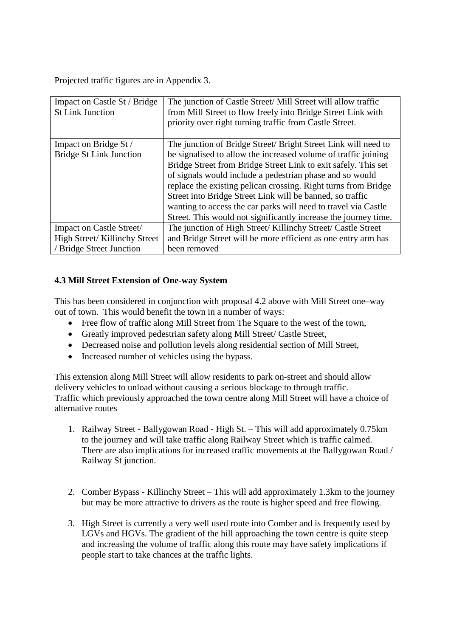Projected traffic figures are in Appendix 3.

| Impact on Castle St / Bridge<br><b>St Link Junction</b> | The junction of Castle Street/ Mill Street will allow traffic<br>from Mill Street to flow freely into Bridge Street Link with<br>priority over right turning traffic from Castle Street.                                                                                                                                                                                                                                                                         |
|---------------------------------------------------------|------------------------------------------------------------------------------------------------------------------------------------------------------------------------------------------------------------------------------------------------------------------------------------------------------------------------------------------------------------------------------------------------------------------------------------------------------------------|
| Impact on Bridge St /                                   | The junction of Bridge Street/ Bright Street Link will need to                                                                                                                                                                                                                                                                                                                                                                                                   |
| <b>Bridge St Link Junction</b>                          | be signalised to allow the increased volume of traffic joining<br>Bridge Street from Bridge Street Link to exit safely. This set<br>of signals would include a pedestrian phase and so would<br>replace the existing pelican crossing. Right turns from Bridge<br>Street into Bridge Street Link will be banned, so traffic<br>wanting to access the car parks will need to travel via Castle<br>Street. This would not significantly increase the journey time. |
| Impact on Castle Street/                                | The junction of High Street/ Killinchy Street/ Castle Street                                                                                                                                                                                                                                                                                                                                                                                                     |
| High Street/ Killinchy Street                           | and Bridge Street will be more efficient as one entry arm has                                                                                                                                                                                                                                                                                                                                                                                                    |
| / Bridge Street Junction                                | been removed                                                                                                                                                                                                                                                                                                                                                                                                                                                     |

# **4.3 Mill Street Extension of One-way System**

This has been considered in conjunction with proposal 4.2 above with Mill Street one–way out of town. This would benefit the town in a number of ways:

- Free flow of traffic along Mill Street from The Square to the west of the town,
- Greatly improved pedestrian safety along Mill Street/ Castle Street,
- Decreased noise and pollution levels along residential section of Mill Street,
- Increased number of vehicles using the bypass.

This extension along Mill Street will allow residents to park on-street and should allow delivery vehicles to unload without causing a serious blockage to through traffic. Traffic which previously approached the town centre along Mill Street will have a choice of alternative routes

- 1. Railway Street Ballygowan Road High St. This will add approximately 0.75km to the journey and will take traffic along Railway Street which is traffic calmed. There are also implications for increased traffic movements at the Ballygowan Road / Railway St junction.
- 2. Comber Bypass Killinchy Street This will add approximately 1.3km to the journey but may be more attractive to drivers as the route is higher speed and free flowing.
- 3. High Street is currently a very well used route into Comber and is frequently used by LGVs and HGVs. The gradient of the hill approaching the town centre is quite steep and increasing the volume of traffic along this route may have safety implications if people start to take chances at the traffic lights.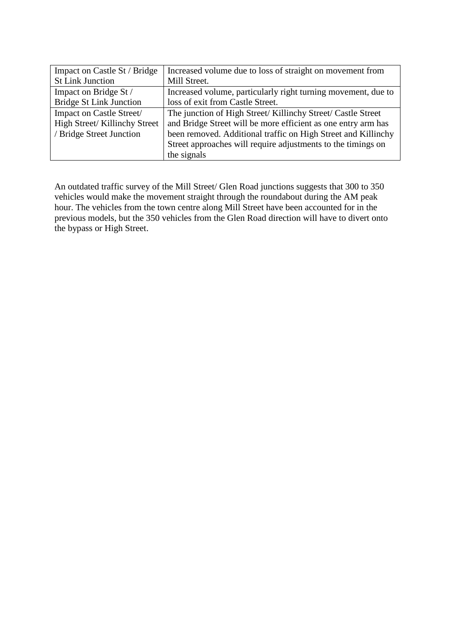| Impact on Castle St / Bridge   | Increased volume due to loss of straight on movement from     |
|--------------------------------|---------------------------------------------------------------|
| <b>St Link Junction</b>        | Mill Street.                                                  |
| Impact on Bridge St /          | Increased volume, particularly right turning movement, due to |
| <b>Bridge St Link Junction</b> | loss of exit from Castle Street.                              |
| Impact on Castle Street/       | The junction of High Street/ Killinchy Street/ Castle Street  |
| High Street/ Killinchy Street  | and Bridge Street will be more efficient as one entry arm has |
| / Bridge Street Junction       | been removed. Additional traffic on High Street and Killinchy |
|                                | Street approaches will require adjustments to the timings on  |
|                                | the signals                                                   |

An outdated traffic survey of the Mill Street/ Glen Road junctions suggests that 300 to 350 vehicles would make the movement straight through the roundabout during the AM peak hour. The vehicles from the town centre along Mill Street have been accounted for in the previous models, but the 350 vehicles from the Glen Road direction will have to divert onto the bypass or High Street.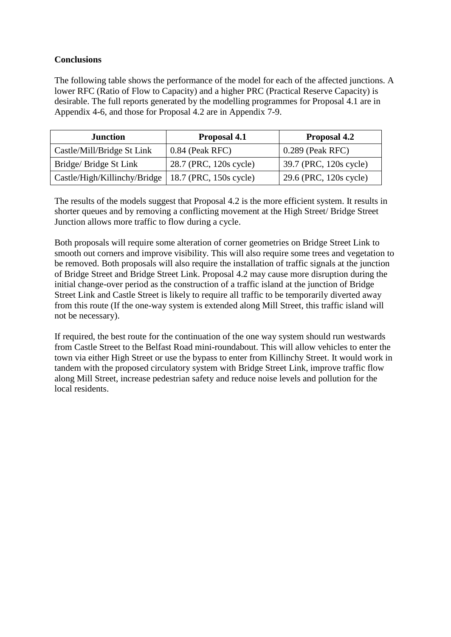#### **Conclusions**

The following table shows the performance of the model for each of the affected junctions. A lower RFC (Ratio of Flow to Capacity) and a higher PRC (Practical Reserve Capacity) is desirable. The full reports generated by the modelling programmes for Proposal 4.1 are in Appendix 4-6, and those for Proposal 4.2 are in Appendix 7-9.

| <b>Junction</b>                                       | Proposal 4.1           | Proposal 4.2           |
|-------------------------------------------------------|------------------------|------------------------|
| Castle/Mill/Bridge St Link                            | $0.84$ (Peak RFC)      | $0.289$ (Peak RFC)     |
| Bridge/ Bridge St Link                                | 28.7 (PRC, 120s cycle) | 39.7 (PRC, 120s cycle) |
| Castle/High/Killinchy/Bridge   18.7 (PRC, 150s cycle) |                        | 29.6 (PRC, 120s cycle) |

The results of the models suggest that Proposal 4.2 is the more efficient system. It results in shorter queues and by removing a conflicting movement at the High Street/ Bridge Street Junction allows more traffic to flow during a cycle.

Both proposals will require some alteration of corner geometries on Bridge Street Link to smooth out corners and improve visibility. This will also require some trees and vegetation to be removed. Both proposals will also require the installation of traffic signals at the junction of Bridge Street and Bridge Street Link. Proposal 4.2 may cause more disruption during the initial change-over period as the construction of a traffic island at the junction of Bridge Street Link and Castle Street is likely to require all traffic to be temporarily diverted away from this route (If the one-way system is extended along Mill Street, this traffic island will not be necessary).

If required, the best route for the continuation of the one way system should run westwards from Castle Street to the Belfast Road mini-roundabout. This will allow vehicles to enter the town via either High Street or use the bypass to enter from Killinchy Street. It would work in tandem with the proposed circulatory system with Bridge Street Link, improve traffic flow along Mill Street, increase pedestrian safety and reduce noise levels and pollution for the local residents.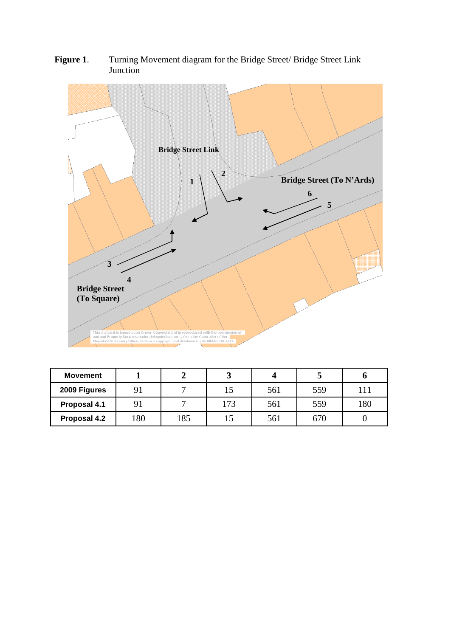

Figure 1. Turning Movement diagram for the Bridge Street/ Bridge Street Link Junction

| <b>Movement</b> |     |     |     |     |     |     |
|-----------------|-----|-----|-----|-----|-----|-----|
| 2009 Figures    |     |     |     | 561 | 559 |     |
| Proposal 4.1    |     |     | .73 | 561 | 559 | 180 |
| Proposal 4.2    | 180 | 185 |     | 561 | 670 |     |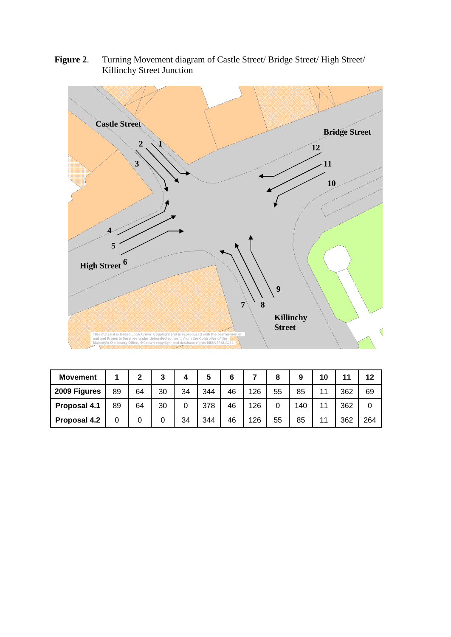

**Figure 2**. Turning Movement diagram of Castle Street/ Bridge Street/ High Street/ Killinchy Street Junction

| <b>Movement</b> |    | 2  | 3  |    | 5   |    |     | 8  | 9   | 10 | 44  | 12  |
|-----------------|----|----|----|----|-----|----|-----|----|-----|----|-----|-----|
| 2009 Figures    | 89 | 64 | 30 | 34 | 344 | 46 | 126 | 55 | 85  | 11 | 362 | 69  |
| Proposal 4.1    | 89 | 64 | 30 | 0  | 378 | 46 | 126 |    | 140 |    | 362 |     |
| Proposal 4.2    |    | 0  |    | 34 | 344 | 46 | 126 | 55 | 85  |    | 362 | 264 |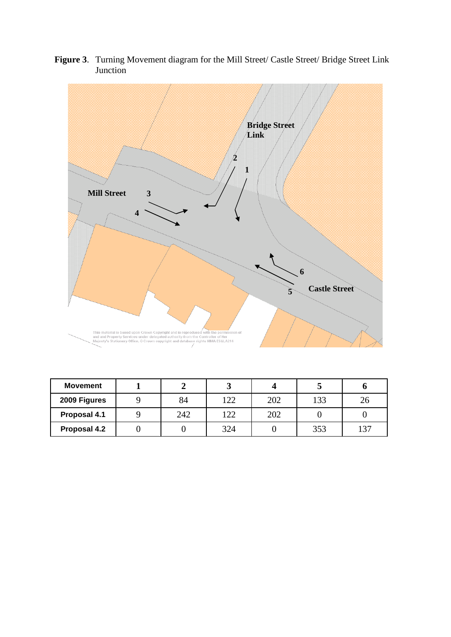![](_page_9_Figure_0.jpeg)

**Figure 3**. Turning Movement diagram for the Mill Street/ Castle Street/ Bridge Street Link Junction

| <b>Movement</b> |     |     |     |     |    |
|-----------------|-----|-----|-----|-----|----|
| 2009 Figures    | 84  | 122 | 202 | 133 |    |
| Proposal 4.1    | 242 | 122 | 202 |     |    |
| Proposal 4.2    |     | 324 |     | 353 | 27 |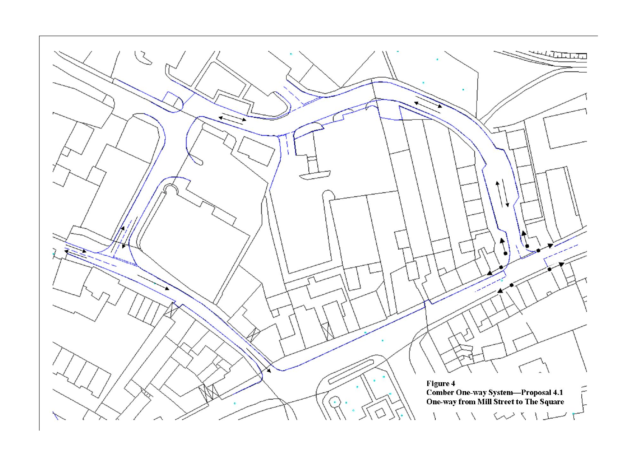![](_page_10_Figure_0.jpeg)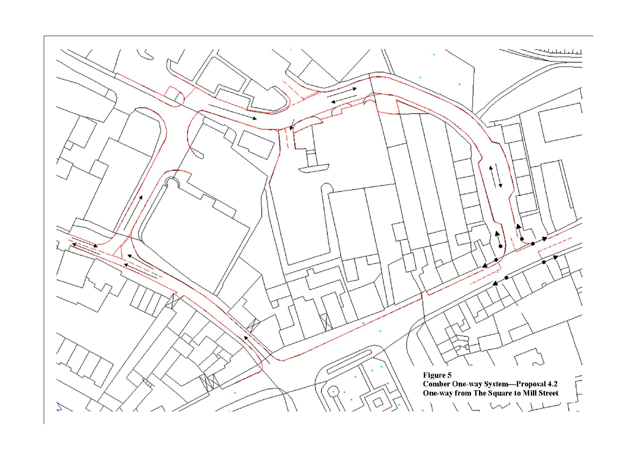![](_page_11_Figure_0.jpeg)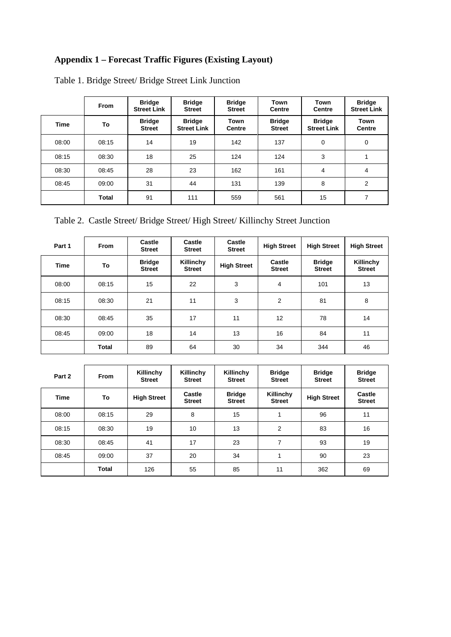# **Appendix 1 – Forecast Traffic Figures (Existing Layout)**

|             | <b>From</b>  | <b>Bridge</b><br><b>Street Link</b> | <b>Bridge</b><br><b>Street</b>      | <b>Bridge</b><br><b>Street</b> | Town<br><b>Centre</b>          | Town<br><b>Centre</b>               | <b>Bridge</b><br><b>Street Link</b> |
|-------------|--------------|-------------------------------------|-------------------------------------|--------------------------------|--------------------------------|-------------------------------------|-------------------------------------|
| <b>Time</b> | To           | <b>Bridge</b><br><b>Street</b>      | <b>Bridge</b><br><b>Street Link</b> | Town<br><b>Centre</b>          | <b>Bridge</b><br><b>Street</b> | <b>Bridge</b><br><b>Street Link</b> | <b>Town</b><br><b>Centre</b>        |
| 08:00       | 08:15        | 14                                  | 19                                  | 142                            | 137                            | $\mathbf 0$                         | 0                                   |
| 08:15       | 08:30        | 18                                  | 25                                  | 124                            | 124                            | 3                                   | 4                                   |
| 08:30       | 08:45        | 28                                  | 23                                  | 162                            | 161                            | 4                                   | 4                                   |
| 08:45       | 09:00        | 31                                  | 44                                  | 131                            | 139                            | 8                                   | 2                                   |
|             | <b>Total</b> | 91                                  | 111                                 | 559                            | 561                            | 15                                  | 7                                   |

Table 1. Bridge Street/ Bridge Street Link Junction

Table 2. Castle Street/ Bridge Street/ High Street/ Killinchy Street Junction

| Part 1      | <b>From</b> | Castle<br><b>Street</b>        | Castle<br><b>Street</b>    | Castle<br><b>Street</b> | <b>High Street</b>      | <b>High Street</b>             | <b>High Street</b>         |
|-------------|-------------|--------------------------------|----------------------------|-------------------------|-------------------------|--------------------------------|----------------------------|
| <b>Time</b> | To          | <b>Bridge</b><br><b>Street</b> | Killinchy<br><b>Street</b> | <b>High Street</b>      | Castle<br><b>Street</b> | <b>Bridge</b><br><b>Street</b> | Killinchy<br><b>Street</b> |
| 08:00       | 08:15       | 15                             | 22                         | 3                       | 4                       | 101                            | 13                         |
| 08:15       | 08:30       | 21                             | 11                         | 3                       | $\overline{2}$          | 81                             | 8                          |
| 08:30       | 08:45       | 35                             | 17                         | 11                      | 12                      | 78                             | 14                         |
| 08:45       | 09:00       | 18                             | 14                         | 13                      | 16                      | 84                             | 11                         |
|             | Total       | 89                             | 64                         | 30                      | 34                      | 344                            | 46                         |

| Part 2 | <b>From</b> | Killinchy<br><b>Street</b> | Killinchy<br><b>Street</b> | Killinchy<br><b>Street</b>     | <b>Bridge</b><br><b>Street</b> | <b>Bridge</b><br><b>Street</b> | <b>Bridge</b><br><b>Street</b> |
|--------|-------------|----------------------------|----------------------------|--------------------------------|--------------------------------|--------------------------------|--------------------------------|
| Time   | To          | <b>High Street</b>         | Castle<br><b>Street</b>    | <b>Bridge</b><br><b>Street</b> | Killinchy<br><b>Street</b>     | <b>High Street</b>             | Castle<br><b>Street</b>        |
| 08:00  | 08:15       | 29                         | 8                          | 15                             |                                | 96                             | 11                             |
| 08:15  | 08:30       | 19                         | 10                         | 13                             | $\overline{2}$                 | 83                             | 16                             |
| 08:30  | 08:45       | 41                         | 17                         | 23                             | 7                              | 93                             | 19                             |
| 08:45  | 09:00       | 37                         | 20                         | 34                             |                                | 90                             | 23                             |
|        | Total       | 126                        | 55                         | 85                             | 11                             | 362                            | 69                             |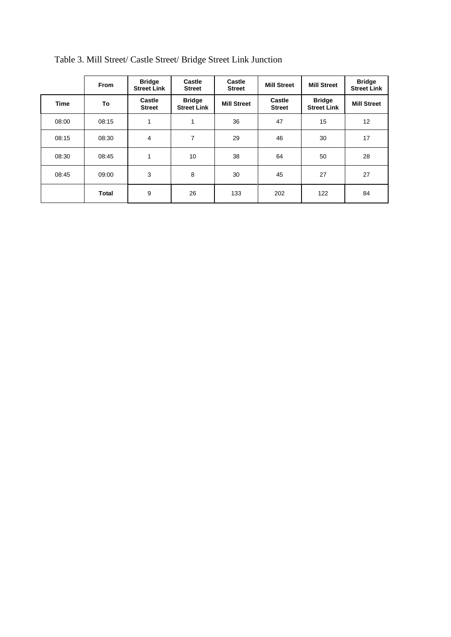|             | <b>From</b>  | <b>Bridge</b><br><b>Street Link</b> | Castle<br><b>Street</b>             | Castle<br><b>Street</b> | <b>Mill Street</b>      | <b>Mill Street</b>                  | <b>Bridge</b><br><b>Street Link</b> |
|-------------|--------------|-------------------------------------|-------------------------------------|-------------------------|-------------------------|-------------------------------------|-------------------------------------|
| <b>Time</b> | To           | Castle<br><b>Street</b>             | <b>Bridge</b><br><b>Street Link</b> | <b>Mill Street</b>      | Castle<br><b>Street</b> | <b>Bridge</b><br><b>Street Link</b> | <b>Mill Street</b>                  |
| 08:00       | 08:15        |                                     | 1                                   | 36                      | 47                      | 15                                  | 12                                  |
| 08:15       | 08:30        | 4                                   | 7                                   | 29                      | 46                      | 30                                  | 17                                  |
| 08:30       | 08:45        |                                     | 10                                  | 38                      | 64                      | 50                                  | 28                                  |
| 08:45       | 09:00        | 3                                   | 8                                   | 30                      | 45                      | 27                                  | 27                                  |
|             | <b>Total</b> | 9                                   | 26                                  | 133                     | 202                     | 122                                 | 84                                  |

Table 3. Mill Street/ Castle Street/ Bridge Street Link Junction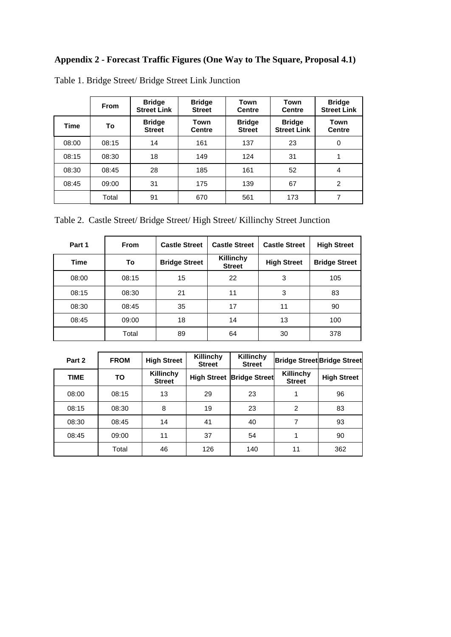# **Appendix 2 - Forecast Traffic Figures (One Way to The Square, Proposal 4.1)**

|             | <b>From</b> | <b>Bridge</b><br><b>Street Link</b> | <b>Bridge</b><br><b>Street</b> | Town<br><b>Centre</b>          | Town<br><b>Centre</b>               | <b>Bridge</b><br><b>Street Link</b> |
|-------------|-------------|-------------------------------------|--------------------------------|--------------------------------|-------------------------------------|-------------------------------------|
| <b>Time</b> | To          | <b>Bridge</b><br><b>Street</b>      | Town<br><b>Centre</b>          | <b>Bridge</b><br><b>Street</b> | <b>Bridge</b><br><b>Street Link</b> | <b>Town</b><br><b>Centre</b>        |
| 08:00       | 08:15       | 14                                  | 161                            | 137                            | 23                                  | $\Omega$                            |
| 08:15       | 08:30       | 18                                  | 149                            | 124                            | 31                                  | 4                                   |
| 08:30       | 08:45       | 28                                  | 185                            | 161                            | 52                                  | 4                                   |
| 08:45       | 09:00       | 31                                  | 175                            | 139                            | 67                                  | 2                                   |
|             | Total       | 91                                  | 670                            | 561                            | 173                                 | 7                                   |

Table 1. Bridge Street/ Bridge Street Link Junction

Table 2. Castle Street/ Bridge Street/ High Street/ Killinchy Street Junction

| Part 1 | <b>From</b> | <b>Castle Street</b> | <b>Castle Street</b>       | <b>Castle Street</b> | <b>High Street</b>   |
|--------|-------------|----------------------|----------------------------|----------------------|----------------------|
| Time   | To          | <b>Bridge Street</b> | Killinchy<br><b>Street</b> | <b>High Street</b>   | <b>Bridge Street</b> |
| 08:00  | 08:15       | 15                   | 22                         | 3                    | 105                  |
| 08:15  | 08:30       | 21                   | 11                         | 3                    | 83                   |
| 08:30  | 08:45       | 35                   | 17                         | 11                   | 90                   |
| 08:45  | 09:00       | 18                   | 14                         | 13                   | 100                  |
|        | Total       | 89                   | 64                         | 30                   | 378                  |

| Part 2 | <b>FROM</b> | <b>High Street</b>         | Killinchy<br><b>Street</b> | Killinchy<br><b>Street</b> |                            | <b>Bridge Street Bridge Street</b> |
|--------|-------------|----------------------------|----------------------------|----------------------------|----------------------------|------------------------------------|
| TIME   | TO          | Killinchy<br><b>Street</b> | <b>High Street</b>         | <b>Bridge Street</b>       | Killinchy<br><b>Street</b> | <b>High Street</b>                 |
| 08:00  | 08:15       | 13                         | 29                         | 23                         | 1                          | 96                                 |
| 08:15  | 08:30       | 8                          | 19                         | 23                         | $\overline{2}$             | 83                                 |
| 08:30  | 08:45       | 14                         | 41                         | 40                         | 7                          | 93                                 |
| 08:45  | 09:00       | 11                         | 37                         | 54                         | 1                          | 90                                 |
|        | Total       | 46                         | 126                        | 140                        | 11                         | 362                                |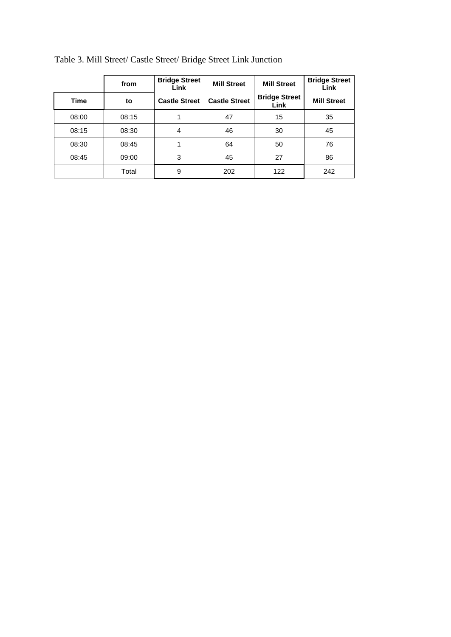|       | from  | <b>Bridge Street</b><br>Link | <b>Mill Street</b>   | <b>Mill Street</b>           | <b>Bridge Street</b><br>Link |
|-------|-------|------------------------------|----------------------|------------------------------|------------------------------|
| Time  | to    | <b>Castle Street</b>         | <b>Castle Street</b> | <b>Bridge Street</b><br>Link | <b>Mill Street</b>           |
| 08:00 | 08:15 | 1                            | 47                   | 15                           | 35                           |
| 08:15 | 08:30 | 4                            | 46                   | 30                           | 45                           |
| 08:30 | 08:45 |                              | 64                   | 50                           | 76                           |
| 08:45 | 09:00 | 3                            | 45                   | 27                           | 86                           |
|       | Total | 9                            | 202                  | 122                          | 242                          |

Table 3. Mill Street/ Castle Street/ Bridge Street Link Junction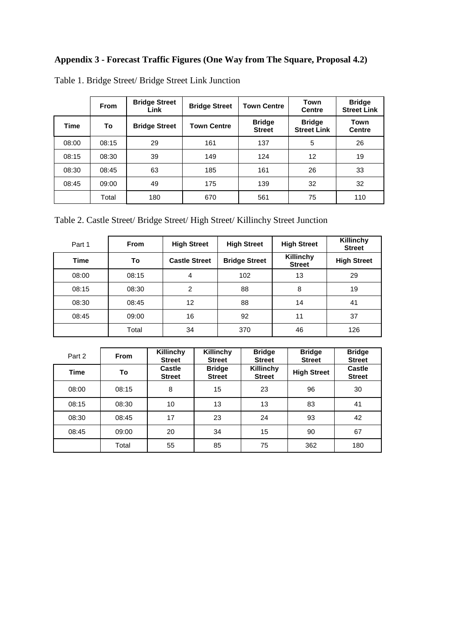# **Appendix 3 - Forecast Traffic Figures (One Way from The Square, Proposal 4.2)**

|       | <b>From</b> | <b>Bridge Street</b><br>Link | <b>Bridge Street</b> | <b>Town Centre</b>             | <b>Town</b><br><b>Centre</b>        | <b>Bridge</b><br><b>Street Link</b> |
|-------|-------------|------------------------------|----------------------|--------------------------------|-------------------------------------|-------------------------------------|
| Time  | To          | <b>Bridge Street</b>         | <b>Town Centre</b>   | <b>Bridge</b><br><b>Street</b> | <b>Bridge</b><br><b>Street Link</b> | Town<br><b>Centre</b>               |
| 08:00 | 08:15       | 29                           | 161                  | 137                            | 5                                   | 26                                  |
| 08:15 | 08:30       | 39                           | 149                  | 124                            | 12                                  | 19                                  |
| 08:30 | 08:45       | 63                           | 185                  | 161                            | 26                                  | 33                                  |
| 08:45 | 09:00       | 49                           | 175                  | 139                            | 32                                  | 32                                  |
|       | Total       | 180                          | 670                  | 561                            | 75                                  | 110                                 |

Table 1. Bridge Street/ Bridge Street Link Junction

Table 2. Castle Street/ Bridge Street/ High Street/ Killinchy Street Junction

| Part 1 | <b>From</b> | <b>High Street</b>   | <b>High Street</b>   | <b>High Street</b>         | Killinchy<br><b>Street</b> |
|--------|-------------|----------------------|----------------------|----------------------------|----------------------------|
| Time   | To          | <b>Castle Street</b> | <b>Bridge Street</b> | Killinchy<br><b>Street</b> | <b>High Street</b>         |
| 08:00  | 08:15       | 4                    | 102                  | 13                         | 29                         |
| 08:15  | 08:30       | 2                    | 88                   | 8                          | 19                         |
| 08:30  | 08:45       | 12                   | 88                   | 14                         | 41                         |
| 08:45  | 09:00       | 16                   | 92                   | 11                         | 37                         |
|        | Total       | 34                   | 370                  | 46                         | 126                        |

| Part 2      | <b>From</b> | Killinchy<br><b>Street</b> | Killinchy<br><b>Street</b>     | <b>Bridge</b><br><b>Street</b> | <b>Bridge</b><br><b>Street</b> | <b>Bridge</b><br><b>Street</b> |
|-------------|-------------|----------------------------|--------------------------------|--------------------------------|--------------------------------|--------------------------------|
| <b>Time</b> | To          | Castle<br><b>Street</b>    | <b>Bridge</b><br><b>Street</b> | Killinchy<br><b>Street</b>     | <b>High Street</b>             | Castle<br><b>Street</b>        |
| 08:00       | 08:15       | 8                          | 15                             | 23                             | 96                             | 30                             |
| 08:15       | 08:30       | 10                         | 13                             | 13                             | 83                             | 41                             |
| 08:30       | 08:45       | 17                         | 23                             | 24                             | 93                             | 42                             |
| 08:45       | 09:00       | 20                         | 34                             | 15                             | 90                             | 67                             |
|             | Total       | 55                         | 85                             | 75                             | 362                            | 180                            |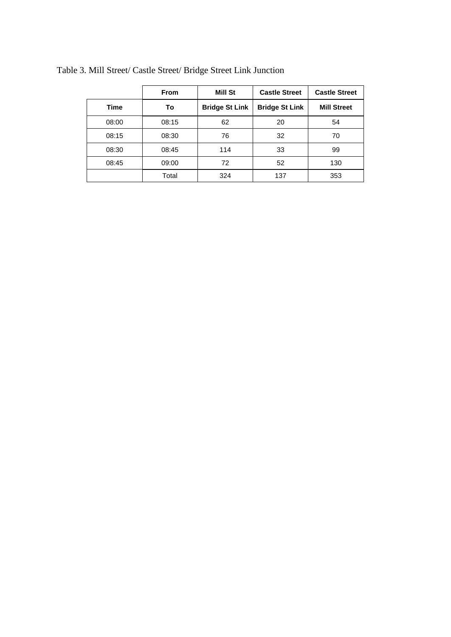|       | <b>From</b> | Mill St               | <b>Castle Street</b>  | <b>Castle Street</b> |
|-------|-------------|-----------------------|-----------------------|----------------------|
| Time  | To          | <b>Bridge St Link</b> | <b>Bridge St Link</b> | <b>Mill Street</b>   |
| 08:00 | 08:15       | 62                    | 20                    | 54                   |
| 08:15 | 08:30       | 76                    | 32                    | 70                   |
| 08:30 | 08:45       | 114                   | 33                    | 99                   |
| 08:45 | 09:00       | 72                    | 52                    | 130                  |
|       | Total       | 324                   | 137                   | 353                  |

Table 3. Mill Street/ Castle Street/ Bridge Street Link Junction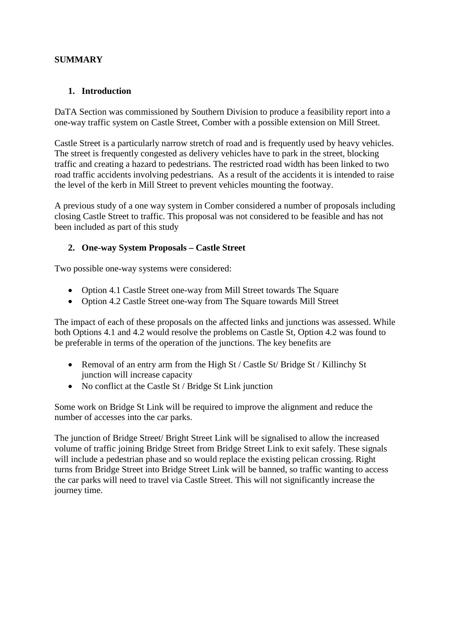# **SUMMARY**

## **1. Introduction**

DaTA Section was commissioned by Southern Division to produce a feasibility report into a one-way traffic system on Castle Street, Comber with a possible extension on Mill Street.

Castle Street is a particularly narrow stretch of road and is frequently used by heavy vehicles. The street is frequently congested as delivery vehicles have to park in the street, blocking traffic and creating a hazard to pedestrians. The restricted road width has been linked to two road traffic accidents involving pedestrians. As a result of the accidents it is intended to raise the level of the kerb in Mill Street to prevent vehicles mounting the footway.

A previous study of a one way system in Comber considered a number of proposals including closing Castle Street to traffic. This proposal was not considered to be feasible and has not been included as part of this study

#### **2. One-way System Proposals – Castle Street**

Two possible one-way systems were considered:

- Option 4.1 Castle Street one-way from Mill Street towards The Square
- Option 4.2 Castle Street one-way from The Square towards Mill Street

The impact of each of these proposals on the affected links and junctions was assessed. While both Options 4.1 and 4.2 would resolve the problems on Castle St, Option 4.2 was found to be preferable in terms of the operation of the junctions. The key benefits are

- Removal of an entry arm from the High St / Castle St / Bridge St / Killinchy St junction will increase capacity
- No conflict at the Castle St / Bridge St Link junction

Some work on Bridge St Link will be required to improve the alignment and reduce the number of accesses into the car parks.

The junction of Bridge Street/ Bright Street Link will be signalised to allow the increased volume of traffic joining Bridge Street from Bridge Street Link to exit safely. These signals will include a pedestrian phase and so would replace the existing pelican crossing. Right turns from Bridge Street into Bridge Street Link will be banned, so traffic wanting to access the car parks will need to travel via Castle Street. This will not significantly increase the journey time.